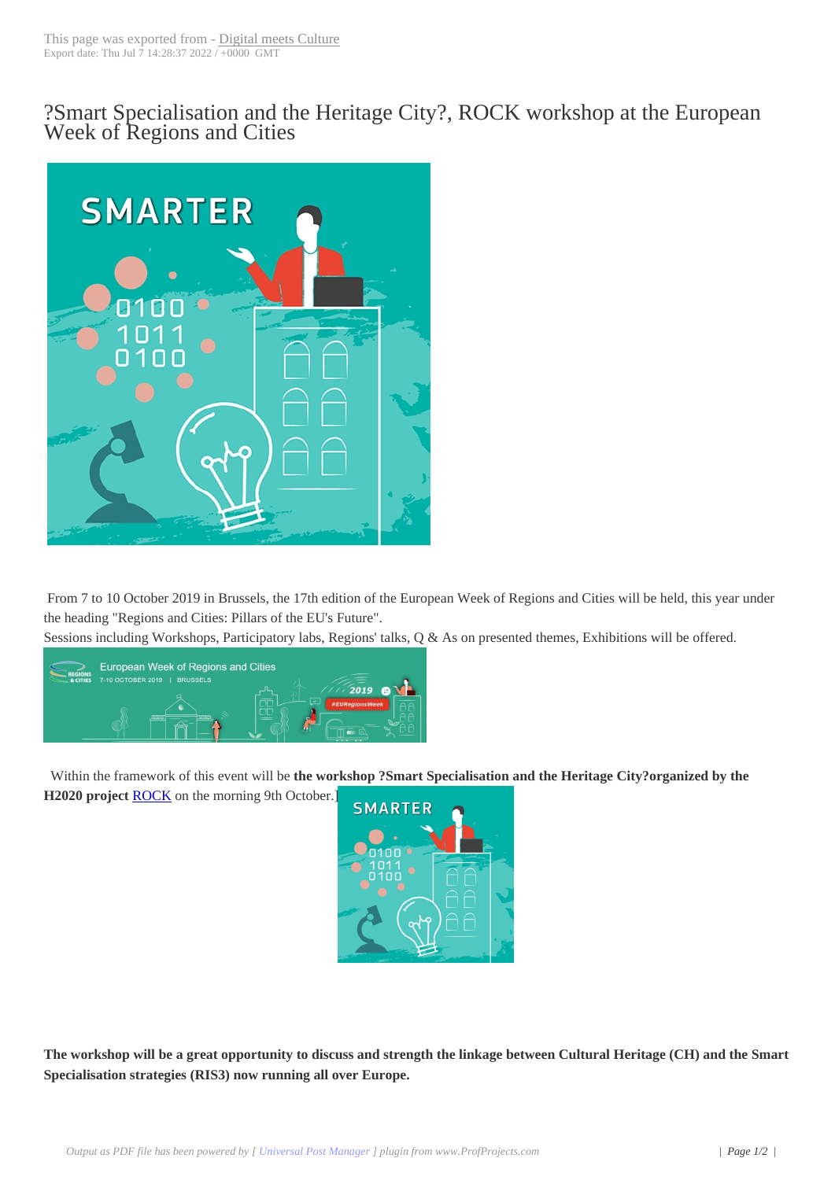?Smart Specialisati[on and the He](http://www.digitalmeetsculture.net/?p=52322)ritage City?, ROCK workshop at the European Week of Regions and Cities



From 7 to 10 October 2019 in Brussels, the 17th edition of the European Week of Regions and Cities will be held, this year under the heading "Regions and Cities: Pillars of the EU's Future".

Sessions including Workshops, Participatory labs, Regions' talks, Q & As on presented themes, Exhibitions will be offered.



Within the framework of this event will be **the workshop ?Smart Specialisation and the Heritage City?organized by the**

**H2020 project** ROCK on the morning 9th October.]



**The workshop will be a great opportunity to discuss and strength the linkage between Cultural Heritage (CH) and the Smart Specialisation strategies (RIS3) now running all over Europe.**